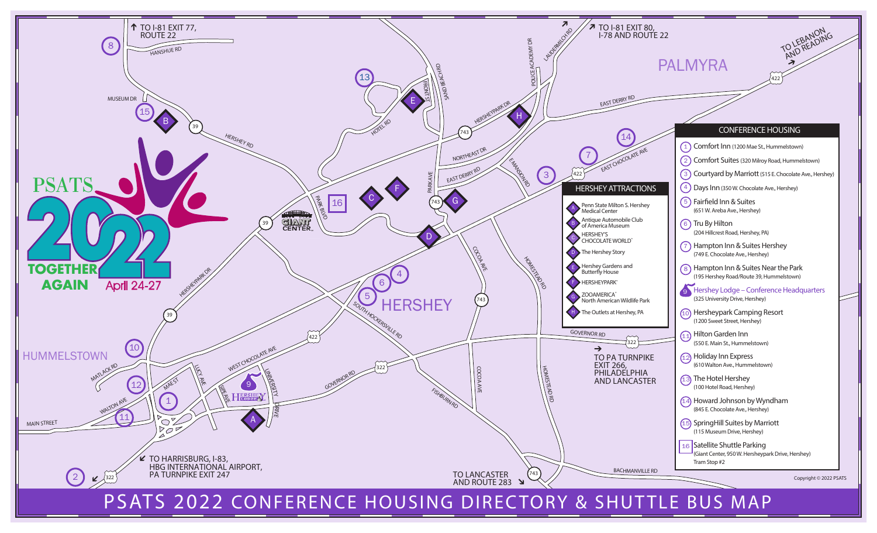